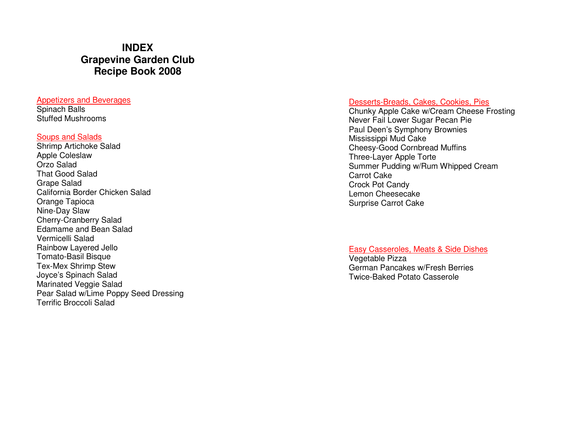# **INDEX Grapevine Garden Club Recipe Book 2008**

#### Appetizers and Beverages

Spinach Balls Stuffed Mushrooms

#### Soups and Salads

 Shrimp Artichoke Salad Apple Coleslaw Orzo Salad That Good Salad Grape Salad California Border Chicken Salad Orange Tapioca Nine-Day Slaw Cherry-Cranberry Salad Edamame and Bean Salad Vermicelli Salad Rainbow Layered Jello Tomato-Basil Bisque Tex-Mex Shrimp Stew Joyce's Spinach Salad Marinated Veggie Salad Pear Salad w/Lime Poppy Seed Dressing Terrific Broccoli Salad

#### Desserts-Breads, Cakes, Cookies, Pies

 Chunky Apple Cake w/Cream Cheese Frosting Never Fail Lower Sugar Pecan Pie Paul Deen's Symphony Brownies Mississippi Mud Cake Cheesy-Good Cornbread Muffins Three-Layer Apple Torte Summer Pudding w/Rum Whipped Cream Carrot Cake Crock Pot Candy Lemon Cheesecake Surprise Carrot Cake

#### Easy Casseroles, Meats & Side Dishes

Vegetable Pizza German Pancakes w/Fresh Berries Twice-Baked Potato Casserole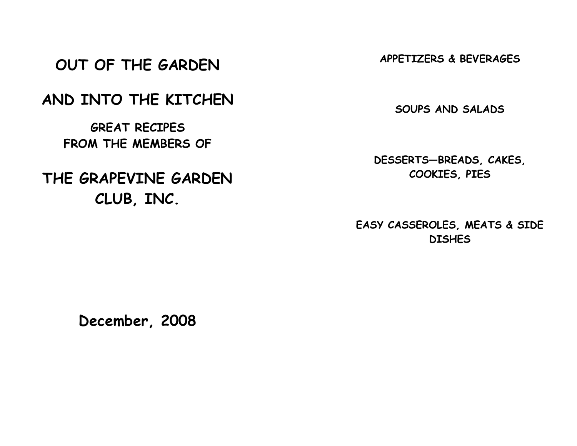# OUT OF THE GARDEN

# AND INTO THE KITCHEN

GREAT RECIPES FROM THE MEMBERS OF

# THE GRAPEVINE GARDEN CLUB, INC.

APPETIZERS & BEVERAGES

SOUPS AND SALADS

DESSERTS—BREADS, CAKES, COOKIES, PIES

EASY CASSEROLES, MEATS & SIDE **DISHES** 

December, 2008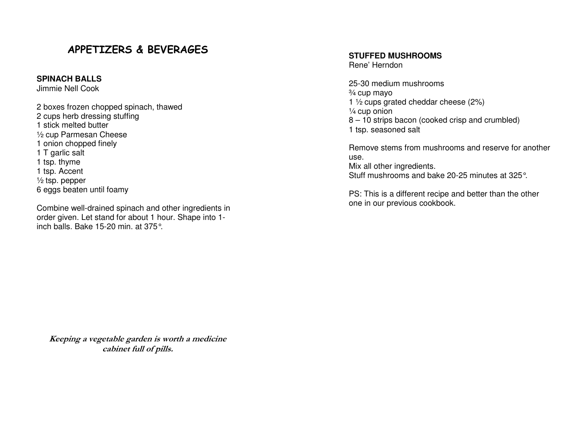# APPETIZERS & BEVERAGES

#### **SPINACH BALLS**

Jimmie Nell Cook

2 boxes frozen chopped spinach, thawed 2 cups herb dressing stuffing 1 stick melted butter ½ cup Parmesan Cheese 1 onion chopped finely 1 T garlic salt 1 tsp. thyme 1 tsp. Accent ½ tsp. pepper 6 eggs beaten until foamy

Combine well-drained spinach and other ingredients in order given. Let stand for about 1 hour. Shape into 1inch balls. Bake 15-20 min. at 375°.

#### **STUFFED MUSHROOMS**

Rene' Herndon

25-30 medium mushrooms ¾ cup mayo 1 ½ cups grated cheddar cheese (2%) ¼ cup onion 8 – 10 strips bacon (cooked crisp and crumbled) 1 tsp. seasoned salt

Remove stems from mushrooms and reserve for anotheruse. Mix all other ingredients. Stuff mushrooms and bake 20-25 minutes at 325°.

PS: This is a different recipe and better than the other one in our previous cookbook.

Keeping a vegetable garden is worth a medicine cabinet full of pills.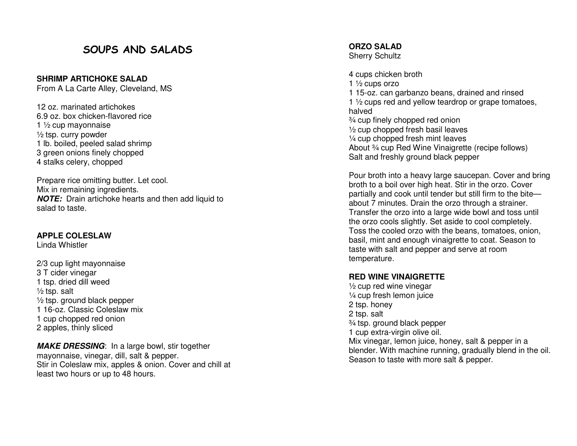# SOUPS AND SALADS

**SHRIMP ARTICHOKE SALAD** 

From A La Carte Alley, Cleveland, MS

12 oz. marinated artichokes 6.9 oz. box chicken-flavored rice 1 ½ cup mayonnaise ½ tsp. curry powder 1 lb. boiled, peeled salad shrimp 3 green onions finely chopped 4 stalks celery, chopped

Prepare rice omitting butter. Let cool. Mix in remaining ingredients. **NOTE:** Drain artichoke hearts and then add liquid to salad to taste.

#### **APPLE COLESLAW**

Linda Whistler

2/3 cup light mayonnaise 3 T cider vinegar 1 tsp. dried dill weed  $\frac{1}{2}$  tsp. salt ½ tsp. ground black pepper 1 16-oz. Classic Coleslaw mix 1 cup chopped red onion 2 apples, thinly sliced

**MAKE DRESSING**: In a large bowl, stir together mayonnaise, vinegar, dill, salt & pepper. Stir in Coleslaw mix, apples & onion. Cover and chill at least two hours or up to 48 hours.

**ORZO SALAD** Sherry Schultz

4 cups chicken broth 1 ½ cups orzo 1 15-oz. can garbanzo beans, drained and rinsed 1 1/2 cups red and yellow teardrop or grape tomatoes, halved ¾ cup finely chopped red onion ½ cup chopped fresh basil leaves ¼ cup chopped fresh mint leaves About 3/4 cup Red Wine Vinaigrette (recipe follows) Salt and freshly ground black pepper

Pour broth into a heavy large saucepan. Cover and bring broth to a boil over high heat. Stir in the orzo. Cover partially and cook until tender but still firm to the biteabout 7 minutes. Drain the orzo through a strainer. Transfer the orzo into a large wide bowl and toss until the orzo cools slightly. Set aside to cool completely. Toss the cooled orzo with the beans, tomatoes, onion, basil, mint and enough vinaigrette to coat. Season to taste with salt and pepper and serve at room temperature.

#### **RED WINE VINAIGRETTE**

½ cup red wine vinegar ¼ cup fresh lemon juice 2 tsp. honey 2 tsp. salt ¾ tsp. ground black pepper 1 cup extra-virgin olive oil. Mix vinegar, lemon juice, honey, salt & pepper in a blender. With machine running, gradually blend in the oil. Season to taste with more salt & pepper.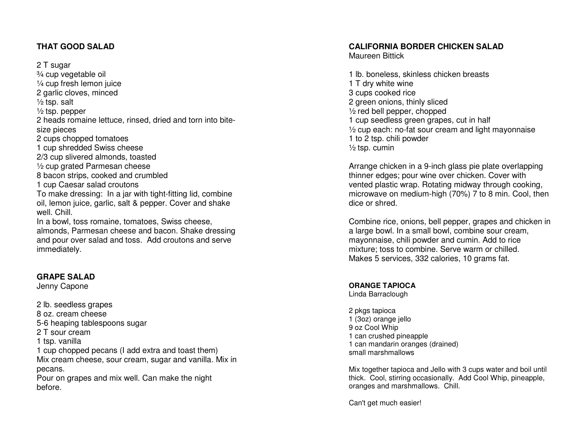#### **THAT GOOD SALAD**

2 T sugar

 ¾ cup vegetable oil ¼ cup fresh lemon juice 2 garlic cloves, minced  $\frac{1}{2}$  tsp. salt ½ tsp. pepper 2 heads romaine lettuce, rinsed, dried and torn into bitesize pieces 2 cups chopped tomatoes 1 cup shredded Swiss cheese 2/3 cup slivered almonds, toasted ½ cup grated Parmesan cheese 8 bacon strips, cooked and crumbled 1 cup Caesar salad croutons To make dressing: In a jar with tight-fitting lid, combine oil, lemon juice, garlic, salt & pepper. Cover and shake well. Chill. In a bowl, toss romaine, tomatoes, Swiss cheese, almonds, Parmesan cheese and bacon. Shake dressing and pour over salad and toss. Add croutons and serve immediately.

#### **GRAPE SALAD**

Jenny Capone

2 lb. seedless grapes 8 oz. cream cheese 5-6 heaping tablespoons sugar 2 T sour cream 1 tsp. vanilla 1 cup chopped pecans (I add extra and toast them) Mix cream cheese, sour cream, sugar and vanilla. Mix in pecans. Pour on grapes and mix well. Can make the night before.

# **CALIFORNIA BORDER CHICKEN SALAD**

Maureen Bittick

1 lb. boneless, skinless chicken breasts 1 T dry white wine 3 cups cooked rice 2 green onions, thinly sliced ½ red bell pepper, chopped 1 cup seedless green grapes, cut in half ½ cup each: no-fat sour cream and light mayonnaise 1 to 2 tsp. chili powder  $\frac{1}{2}$  tsp. cumin

Arrange chicken in a 9-inch glass pie plate overlapping thinner edges; pour wine over chicken. Cover with vented plastic wrap. Rotating midway through cooking, microwave on medium-high (70%) 7 to 8 min. Cool, then dice or shred.

Combine rice, onions, bell pepper, grapes and chicken in a large bowl. In a small bowl, combine sour cream, mayonnaise, chili powder and cumin. Add to rice mixture; toss to combine. Serve warm or chilled. Makes 5 services, 332 calories, 10 grams fat.

## **ORANGE TAPIOCA**

Linda Barraclough

2 pkgs tapioca 1 (3oz) orange jello 9 oz Cool Whip 1 can crushed pineapple 1 can mandarin oranges (drained) small marshmallows

Mix together tapioca and Jello with 3 cups water and boil until thick. Cool, stirring occasionally. Add Cool Whip, pineapple, oranges and marshmallows. Chill.

Can't get much easier!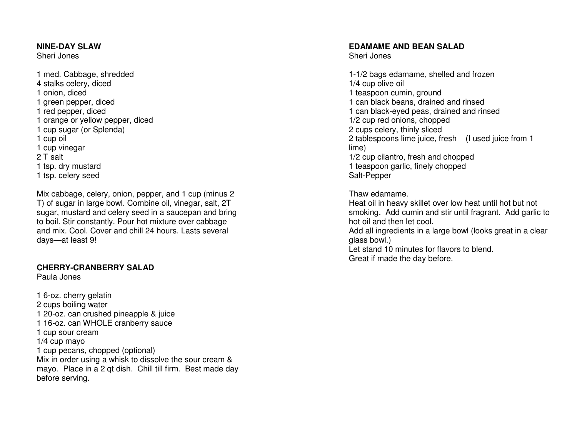#### **NINE-DAY SLAW**

Sheri Jones

1 med. Cabbage, shredded 4 stalks celery, diced 1 onion, diced 1 green pepper, diced 1 red pepper, diced 1 orange or yellow pepper, diced 1 cup sugar (or Splenda) 1 cup oil 1 cup vinegar 2 T salt 1 tsp. dry mustard 1 tsp. celery seed

Mix cabbage, celery, onion, pepper, and 1 cup (minus 2 T) of sugar in large bowl. Combine oil, vinegar, salt, 2T sugar, mustard and celery seed in a saucepan and bring to boil. Stir constantly. Pour hot mixture over cabbage and mix. Cool. Cover and chill 24 hours. Lasts several days—at least 9!

#### **CHERRY-CRANBERRY SALAD**

Paula Jones

1 6-oz. cherry gelatin 2 cups boiling water 1 20-oz. can crushed pineapple & juice 1 16-oz. can WHOLE cranberry sauce 1 cup sour cream 1/4 cup mayo 1 cup pecans, chopped (optional) Mix in order using a whisk to dissolve the sour cream & mayo. Place in a 2 qt dish. Chill till firm. Best made day before serving.

#### **EDAMAME AND BEAN SALAD**

Sheri Jones

1-1/2 bags edamame, shelled and frozen 1/4 cup olive oil 1 teaspoon cumin, ground 1 can black beans, drained and rinsed 1 can black-eyed peas, drained and rinsed 1/2 cup red onions, chopped 2 cups celery, thinly sliced 2 tablespoons lime juice, fresh (I used juice from 1 lime) 1/2 cup cilantro, fresh and chopped 1 teaspoon garlic, finely chopped Salt-Pepper

Thaw edamame.

 Heat oil in heavy skillet over low heat until hot but not smoking. Add cumin and stir until fragrant. Add garlic to hot oil and then let cool.

 Add all ingredients in a large bowl (looks great in a clear glass bowl.)

 Let stand 10 minutes for flavors to blend. Great if made the day before.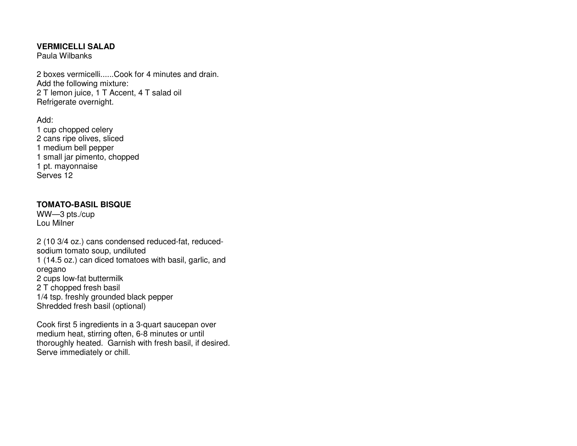#### **VERMICELLI SALAD**

Paula Wilbanks

2 boxes vermicelli......Cook for 4 minutes and drain. Add the following mixture: 2 T lemon juice, 1 T Accent, 4 T salad oil Refrigerate overnight.

Add:

 1 cup chopped celery 2 cans ripe olives, sliced 1 medium bell pepper 1 small jar pimento, chopped 1 pt. mayonnaise Serves 12

# **TOMATO-BASIL BISQUE**

WW—3 pts./cup Lou Milner

2 (10 3/4 oz.) cans condensed reduced-fat, reducedsodium tomato soup, undiluted 1 (14.5 oz.) can diced tomatoes with basil, garlic, and oregano 2 cups low-fat buttermilk 2 T chopped fresh basil 1/4 tsp. freshly grounded black pepper Shredded fresh basil (optional)

Cook first 5 ingredients in a 3-quart saucepan overmedium heat, stirring often, 6-8 minutes or until thoroughly heated. Garnish with fresh basil, if desired. Serve immediately or chill.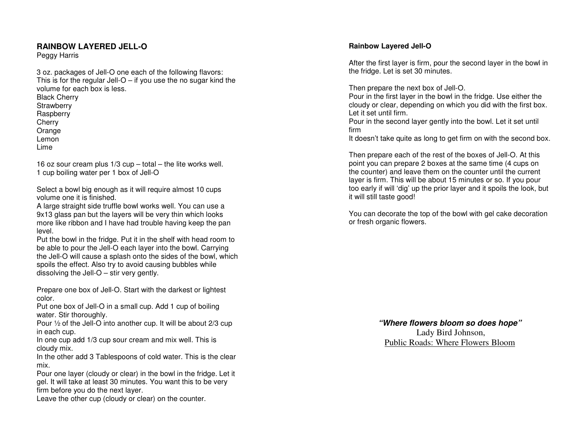#### **RAINBOW LAYERED JELL-O**

Peggy Harris

3 oz. packages of Jell-O one each of the following flavors: This is for the regular Jell- $O - if$  you use the no sugar kind the volume for each box is less. Black Cherry **Strawberry**  Raspberry **Cherry**  Orange Lemon Lime

16 oz sour cream plus 1/3 cup – total – the lite works well. 1 cup boiling water per 1 box of Jell-O

Select a bowl big enough as it will require almost 10 cups volume one it is finished.

 A large straight side truffle bowl works well. You can use a 9x13 glass pan but the layers will be very thin which looks more like ribbon and I have had trouble having keep the pan level.

 Put the bowl in the fridge. Put it in the shelf with head room to be able to pour the Jell-O each layer into the bowl. Carrying the Jell-O will cause a splash onto the sides of the bowl, which spoils the effect. Also try to avoid causing bubbles while dissolving the Jell-O – stir very gently.

Prepare one box of Jell-O. Start with the darkest or lightest color.

 Put one box of Jell-O in a small cup. Add 1 cup of boiling water. Stir thoroughly.

 Pour ½ of the Jell-O into another cup. It will be about 2/3 cup in each cup.

 In one cup add 1/3 cup sour cream and mix well. This is cloudy mix.

 In the other add 3 Tablespoons of cold water. This is the clear mix.

 Pour one layer (cloudy or clear) in the bowl in the fridge. Let it gel. It will take at least 30 minutes. You want this to be very firm before you do the next layer.

Leave the other cup (cloudy or clear) on the counter.

#### **Rainbow Layered Jell-O**

After the first layer is firm, pour the second layer in the bowl in the fridge. Let is set 30 minutes.

Then prepare the next box of Jell-O.

 Pour in the first layer in the bowl in the fridge. Use either the cloudy or clear, depending on which you did with the first box. Let it set until firm.

 Pour in the second layer gently into the bowl. Let it set until firm

It doesn't take quite as long to get firm on with the second box.

Then prepare each of the rest of the boxes of Jell-O. At this point you can prepare 2 boxes at the same time (4 cups on the counter) and leave them on the counter until the current layer is firm. This will be about 15 minutes or so. If you pour too early if will 'dig' up the prior layer and it spoils the look, but it will still taste good!

You can decorate the top of the bowl with gel cake decoration or fresh organic flowers.

> **"Where flowers bloom so does hope"**  Lady Bird Johnson, Public Roads: Where Flowers Bloom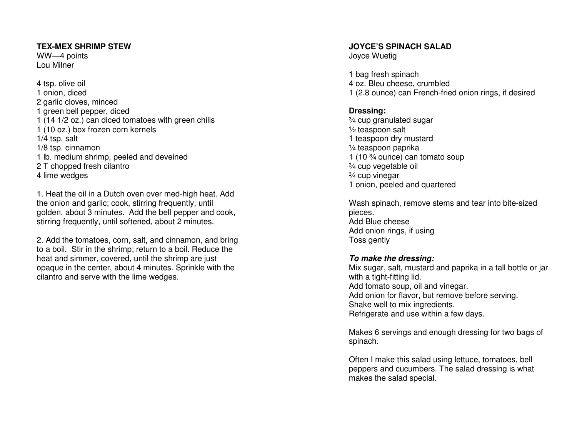#### **TEX-MEX SHRIMP STEW**

WW—4 points Lou Milner

4 tsp. olive oil 1 onion, diced 2 garlic cloves, minced 1 green bell pepper, diced 1 (14 1/2 oz.) can diced tomatoes with green chilis1 (10 oz.) box frozen corn kernels 1/4 tsp. salt 1/8 tsp. cinnamon 1 lb. medium shrimp, peeled and deveined 2 T chopped fresh cilantro 4 lime wedges

1. Heat the oil in a Dutch oven over med-high heat. Add the onion and garlic; cook, stirring frequently, until golden, about 3 minutes. Add the bell pepper and cook, stirring frequently, until softened, about 2 minutes.

2. Add the tomatoes, corn, salt, and cinnamon, and bring to a boil. Stir in the shrimp; return to a boil. Reduce the heat and simmer, covered, until the shrimp are just opaque in the center, about 4 minutes. Sprinkle with the cilantro and serve with the lime wedges.

## **JOYCE'S SPINACH SALAD**

Joyce Wuetig

1 bag fresh spinach 4 oz. Bleu cheese, crumbled 1 (2.8 ounce) can French-fried onion rings, if desired

## **Dressing:**

 ¾ cup granulated sugar ½ teaspoon salt 1 teaspoon dry mustard ¼ teaspoon paprika 1 (10 ¾ ounce) can tomato soup ¾ cup vegetable oil ¾ cup vinegar 1 onion, peeled and quartered

Wash spinach, remove stems and tear into bite-sizedpieces. Add Blue cheese Add onion rings, if using Toss gently

#### **To make the dressing:**

 Mix sugar, salt, mustard and paprika in a tall bottle or jar with a tight-fitting lid. Add tomato soup, oil and vinegar. Add onion for flavor, but remove before serving. Shake well to mix ingredients. Refrigerate and use within a few days.

Makes 6 servings and enough dressing for two bags of spinach.

Often I make this salad using lettuce, tomatoes, bell peppers and cucumbers. The salad dressing is what makes the salad special.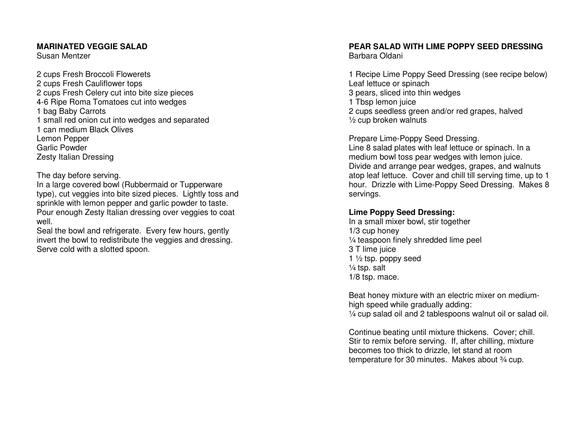#### **MARINATED VEGGIE SALAD**

Susan Mentzer

2 cups Fresh Broccoli Flowerets 2 cups Fresh Cauliflower tops 2 cups Fresh Celery cut into bite size pieces 4-6 Ripe Roma Tomatoes cut into wedges 1 bag Baby Carrots 1 small red onion cut into wedges and separated 1 can medium Black Olives Lemon Pepper Garlic Powder Zesty Italian Dressing

The day before serving.

 In a large covered bowl (Rubbermaid or Tupperware type), cut veggies into bite sized pieces. Lightly toss and sprinkle with lemon pepper and garlic powder to taste. Pour enough Zesty Italian dressing over veggies to coat well.

 Seal the bowl and refrigerate. Every few hours, gently invert the bowl to redistribute the veggies and dressing. Serve cold with a slotted spoon.

# **PEAR SALAD WITH LIME POPPY SEED DRESSING**

Barbara Oldani

1 Recipe Lime Poppy Seed Dressing (see recipe below) Leaf lettuce or spinach 3 pears, sliced into thin wedges 1 Tbsp lemon juice 2 cups seedless green and/or red grapes, halved ½ cup broken walnuts

Prepare Lime-Poppy Seed Dressing.

 Line 8 salad plates with leaf lettuce or spinach. In a medium bowl toss pear wedges with lemon juice. Divide and arrange pear wedges, grapes, and walnuts atop leaf lettuce. Cover and chill till serving time, up to 1 hour. Drizzle with Lime-Poppy Seed Dressing. Makes 8 servings.

## **Lime Poppy Seed Dressing:**

 In a small mixer bowl, stir together 1/3 cup honey ¼ teaspoon finely shredded lime peel 3 T lime juice 1 ½ tsp. poppy seed ¼ tsp. salt 1/8 tsp. mace.

Beat honey mixture with an electric mixer on mediumhigh speed while gradually adding: ¼ cup salad oil and 2 tablespoons walnut oil or salad oil.

Continue beating until mixture thickens. Cover; chill. Stir to remix before serving. If, after chilling, mixture becomes too thick to drizzle, let stand at room temperature for 30 minutes. Makes about 3/4 cup.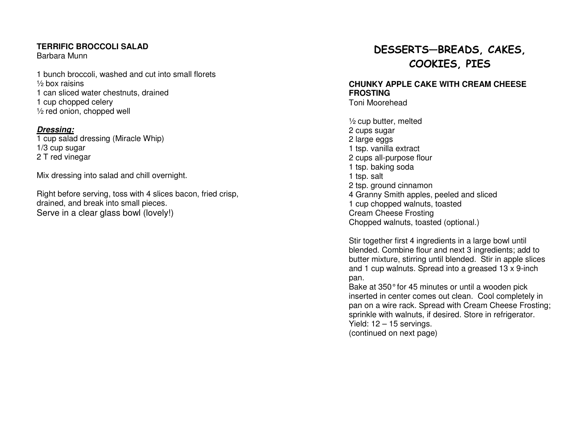#### **TERRIFIC BROCCOLI SALAD**

Barbara Munn

1 bunch broccoli, washed and cut into small florets½ box raisins 1 can sliced water chestnuts, drained 1 cup chopped celery ½ red onion, chopped well

### **Dressing:**

 1 cup salad dressing (Miracle Whip) 1/3 cup sugar 2 T red vinegar

Mix dressing into salad and chill overnight.

Right before serving, toss with 4 slices bacon, fried crisp, drained, and break into small pieces. Serve in a clear glass bowl (lovely!)

# DESSERTS—BREADS, CAKES, COOKIES, PIES

# **CHUNKY APPLE CAKE WITH CREAM CHEESE FROSTING**

Toni Moorehead

 $\frac{1}{2}$  cup butter, melted 2 cups sugar 2 large eggs 1 tsp. vanilla extract 2 cups all-purpose flour 1 tsp. baking soda 1 tsp. salt 2 tsp. ground cinnamon 4 Granny Smith apples, peeled and sliced 1 cup chopped walnuts, toasted Cream Cheese Frosting Chopped walnuts, toasted (optional.)

Stir together first 4 ingredients in a large bowl until blended. Combine flour and next 3 ingredients; add to butter mixture, stirring until blended. Stir in apple slices and 1 cup walnuts. Spread into a greased 13 x 9-inch pan.

Bake at 350° for 45 minutes or until a wooden pick inserted in center comes out clean. Cool completely in pan on a wire rack. Spread with Cream Cheese Frosting; sprinkle with walnuts, if desired. Store in refrigerator. Yield: 12 – 15 servings. (continued on next page)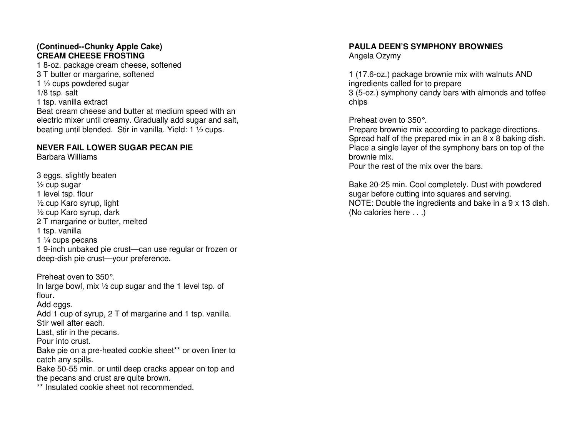## **(Continued--Chunky Apple Cake) CREAM CHEESE FROSTING**

 1 8-oz. package cream cheese, softened 3 T butter or margarine, softened 1 ½ cups powdered sugar 1/8 tsp. salt 1 tsp. vanilla extract Beat cream cheese and butter at medium speed with an electric mixer until creamy. Gradually add sugar and salt, beating until blended. Stir in vanilla. Yield: 1 ½ cups.

#### **NEVER FAIL LOWER SUGAR PECAN PIE**

Barbara Williams

3 eggs, slightly beaten ½ cup sugar 1 level tsp. flour ½ cup Karo syrup, light ½ cup Karo syrup, dark 2 T margarine or butter, melted 1 tsp. vanilla 1 ¼ cups pecans 1 9-inch unbaked pie crust—can use regular or frozen or deep-dish pie crust—your preference.

Preheat oven to 350°. In large bowl, mix ½ cup sugar and the 1 level tsp. of flour. Add eggs. Add 1 cup of syrup, 2 T of margarine and 1 tsp. vanilla. Stir well after each. Last, stir in the pecans. Pour into crust. Bake pie on a pre-heated cookie sheet\*\* or oven liner to catch any spills. Bake 50-55 min. or until deep cracks appear on top and the pecans and crust are quite brown.

\*\* Insulated cookie sheet not recommended.

## **PAULA DEEN'S SYMPHONY BROWNIES**

Angela Ozymy

1 (17.6-oz.) package brownie mix with walnuts AND ingredients called for to prepare 3 (5-oz.) symphony candy bars with almonds and toffee chips

Preheat oven to 350°.

 Prepare brownie mix according to package directions. Spread half of the prepared mix in an 8 x 8 baking dish. Place a single layer of the symphony bars on top of the brownie mix.

Pour the rest of the mix over the bars.

Bake 20-25 min. Cool completely. Dust with powderedsugar before cutting into squares and serving. NOTE: Double the ingredients and bake in a 9 x 13 dish. (No calories here . . .)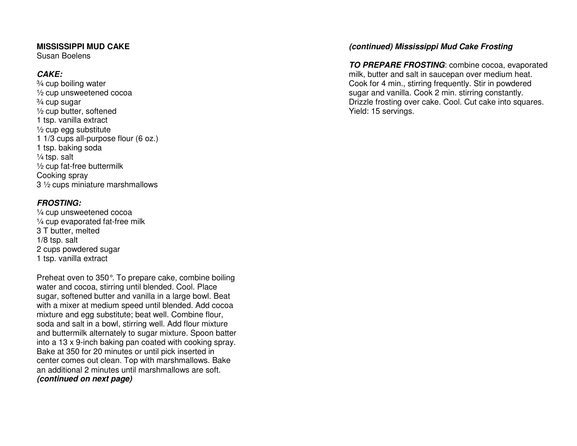#### **MISSISSIPPI MUD CAKE**

Susan Boelens

# **CAKE:**

 ¾ cup boiling water ½ cup unsweetened cocoa ¾ cup sugar ½ cup butter, softened 1 tsp. vanilla extract ½ cup egg substitute 1 1/3 cups all-purpose flour (6 oz.) 1 tsp. baking soda ¼ tsp. salt ½ cup fat-free buttermilk Cooking spray 3 ½ cups miniature marshmallows

# **FROSTING:**

 ¼ cup unsweetened cocoa ¼ cup evaporated fat-free milk 3 T butter, melted 1/8 tsp. salt 2 cups powdered sugar 1 tsp. vanilla extract

Preheat oven to 350°. To prepare cake, combine boiling water and cocoa, stirring until blended. Cool. Place sugar, softened butter and vanilla in a large bowl. Beat with a mixer at medium speed until blended. Add cocoa mixture and egg substitute; beat well. Combine flour, soda and salt in a bowl, stirring well. Add flour mixture and buttermilk alternately to sugar mixture. Spoon batter into a 13 x 9-inch baking pan coated with cooking spray. Bake at 350 for 20 minutes or until pick inserted in center comes out clean. Top with marshmallows. Bakean additional 2 minutes until marshmallows are soft. **(continued on next page)** 

## **(continued) Mississippi Mud Cake Frosting**

**TO PREPARE FROSTING**: combine cocoa, evaporated milk, butter and salt in saucepan over medium heat. Cook for 4 min., stirring frequently. Stir in powdered sugar and vanilla. Cook 2 min. stirring constantly. Drizzle frosting over cake. Cool. Cut cake into squares. Yield: 15 servings.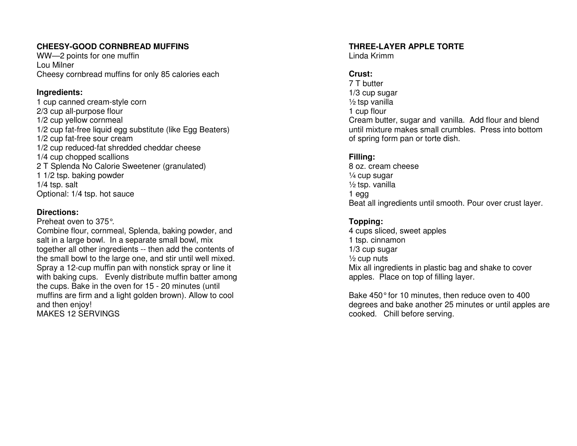## **CHEESY-GOOD CORNBREAD MUFFINS**

WW—2 points for one muffin Lou Milner Cheesy cornbread muffins for only 85 calories each

### **Ingredients:**

 1 cup canned cream-style corn 2/3 cup all-purpose flour 1/2 cup yellow cornmeal 1/2 cup fat-free liquid egg substitute (like Egg Beaters) 1/2 cup fat-free sour cream 1/2 cup reduced-fat shredded cheddar cheese 1/4 cup chopped scallions 2 T Splenda No Calorie Sweetener (granulated) 1 1/2 tsp. baking powder 1/4 tsp. salt Optional: 1/4 tsp. hot sauce

## **Directions:**

 Preheat oven to 375°. Combine flour, cornmeal, Splenda, baking powder, and salt in a large bowl. In a separate small bowl, mix together all other ingredients -- then add the contents of the small bowl to the large one, and stir until well mixed. Spray a 12-cup muffin pan with nonstick spray or line it with baking cups. Evenly distribute muffin batter among the cups. Bake in the oven for 15 - 20 minutes (until muffins are firm and a light golden brown). Allow to cool and then enjoy! MAKES 12 SERVINGS

# **THREE-LAYER APPLE TORTE**

Linda Krimm

# **Crust:**

 7 T butter 1/3 cup sugar  $\frac{1}{2}$  tsp vanilla 1 cup flour Cream butter, sugar and vanilla. Add flour and blend until mixture makes small crumbles. Press into bottom of spring form pan or torte dish.

# **Filling:**

8 oz. cream cheese ¼ cup sugar ½ tsp. vanilla 1 egg Beat all ingredients until smooth. Pour over crust layer.

# **Topping:**

 4 cups sliced, sweet apples 1 tsp. cinnamon 1/3 cup sugar  $\frac{1}{2}$  cup nuts Mix all ingredients in plastic bag and shake to cover apples. Place on top of filling layer.

Bake 450° for 10 minutes, then reduce oven to 400 degrees and bake another 25 minutes or until apples are cooked. Chill before serving.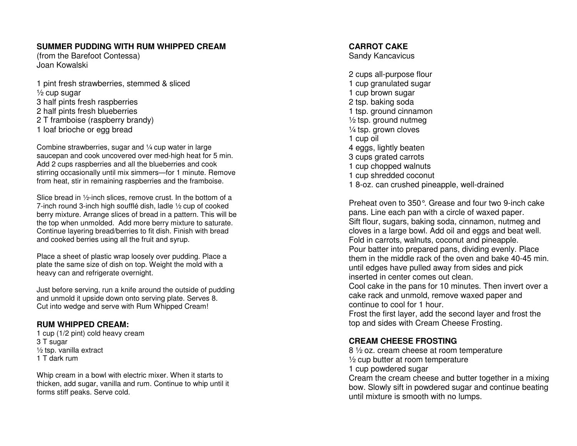#### **SUMMER PUDDING WITH RUM WHIPPED CREAM**

(from the Barefoot Contessa) Joan Kowalski

1 pint fresh strawberries, stemmed & sliced  $\frac{1}{2}$  cup sugar 3 half pints fresh raspberries 2 half pints fresh blueberries 2 T framboise (raspberry brandy) 1 loaf brioche or egg bread

Combine strawberries, sugar and ¼ cup water in large saucepan and cook uncovered over med-high heat for 5 min. Add 2 cups raspberries and all the blueberries and cook stirring occasionally until mix simmers—for 1 minute. Remove from heat, stir in remaining raspberries and the framboise.

Slice bread in ½-inch slices, remove crust. In the bottom of a 7-inch round 3-inch high soufflé dish, ladle ½ cup of cooked berry mixture. Arrange slices of bread in a pattern. This will be the top when unmolded. Add more berry mixture to saturate. Continue layering bread/berries to fit dish. Finish with bread and cooked berries using all the fruit and syrup.

Place a sheet of plastic wrap loosely over pudding. Place a plate the same size of dish on top. Weight the mold with a heavy can and refrigerate overnight.

Just before serving, run a knife around the outside of pudding and unmold it upside down onto serving plate. Serves 8. Cut into wedge and serve with Rum Whipped Cream!

#### **RUM WHIPPED CREAM:**

 1 cup (1/2 pint) cold heavy cream 3 T sugar ½ tsp. vanilla extract 1 T dark rum

Whip cream in a bowl with electric mixer. When it starts to thicken, add sugar, vanilla and rum. Continue to whip until it forms stiff peaks. Serve cold.

#### **CARROT CAKE**

Sandy Kancavicus

2 cups all-purpose flour 1 cup granulated sugar 1 cup brown sugar 2 tsp. baking soda 1 tsp. ground cinnamon  $\frac{1}{2}$  tsp. ground nutmeg ¼ tsp. grown cloves 1 cup oil 4 eggs, lightly beaten 3 cups grated carrots 1 cup chopped walnuts 1 cup shredded coconut 1 8-oz. can crushed pineapple, well-drained

Preheat oven to 350°. Grease and four two 9-inch cake pans. Line each pan with a circle of waxed paper. Sift flour, sugars, baking soda, cinnamon, nutmeg and cloves in a large bowl. Add oil and eggs and beat well. Fold in carrots, walnuts, coconut and pineapple. Pour batter into prepared pans, dividing evenly. Place them in the middle rack of the oven and bake 40-45 min. until edges have pulled away from sides and pick inserted in center comes out clean.

 Cool cake in the pans for 10 minutes. Then invert over a cake rack and unmold, remove waxed paper and continue to cool for 1 hour.

 Frost the first layer, add the second layer and frost the top and sides with Cream Cheese Frosting.

#### **CREAM CHEESE FROSTING**

 $8\frac{1}{2}$  oz. cream cheese at room temperature ½ cup butter at room temperature 1 cup powdered sugar

 Cream the cream cheese and butter together in a mixing bow. Slowly sift in powdered sugar and continue beating until mixture is smooth with no lumps.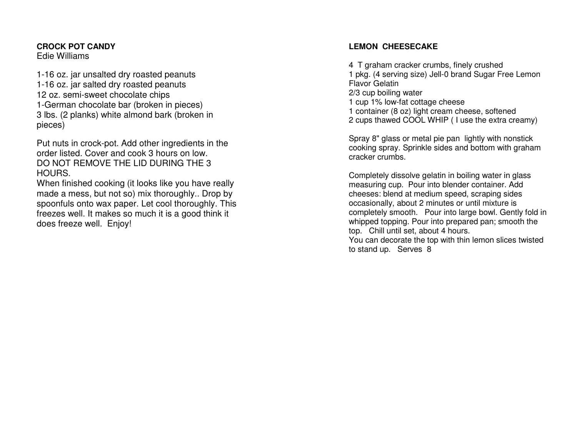#### **CROCK POT CANDY**Edie Williams

1-16 oz. jar unsalted dry roasted peanuts1-16 oz. jar salted dry roasted peanuts12 oz. semi-sweet chocolate chips 1-German chocolate bar (broken in pieces) 3 lbs. (2 planks) white almond bark (broken in pieces)

Put nuts in crock-pot. Add other ingredients in theorder listed. Cover and cook 3 hours on low. DO NOT REMOVE THE LID DURING THE 3 HOURS.

 When finished cooking (it looks like you have really made a mess, but not so) mix thoroughly.. Drop by spoonfuls onto wax paper. Let cool thoroughly. Thisfreezes well. It makes so much it is a good think it does freeze well. Enjoy!

## **LEMON CHEESECAKE**

4 T graham cracker crumbs, finely crushed 1 pkg. (4 serving size) Jell-0 brand Sugar Free Lemon Flavor Gelatin 2/3 cup boiling water 1 cup 1% low-fat cottage cheese 1 container (8 oz) light cream cheese, softened 2 cups thawed COOL WHIP ( I use the extra creamy)

Spray 8" glass or metal pie pan lightly with nonstick cooking spray. Sprinkle sides and bottom with graham cracker crumbs.

Completely dissolve gelatin in boiling water in glass measuring cup. Pour into blender container. Add cheeses: blend at medium speed, scraping sides occasionally, about 2 minutes or until mixture is completely smooth. Pour into large bowl. Gently fold in whipped topping. Pour into prepared pan; smooth thetop. Chill until set, about 4 hours.

 You can decorate the top with thin lemon slices twisted to stand up. Serves 8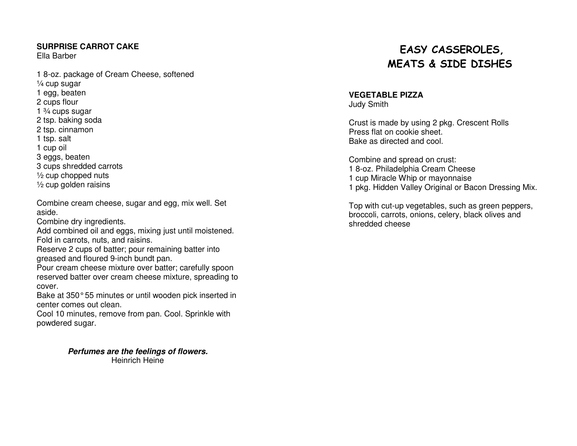## **SURPRISE CARROT CAKE**

Ella Barber

1 8-oz. package of Cream Cheese, softened ¼ cup sugar 1 egg, beaten 2 cups flour 1  $\frac{3}{4}$  cups sugar 2 tsp. baking soda 2 tsp. cinnamon 1 tsp. salt 1 cup oil 3 eggs, beaten 3 cups shredded carrots  $\frac{1}{2}$  cup chopped nuts ½ cup golden raisins

Combine cream cheese, sugar and egg, mix well. Set aside.

Combine dry ingredients.

 Add combined oil and eggs, mixing just until moistened. Fold in carrots, nuts, and raisins.

 Reserve 2 cups of batter; pour remaining batter into greased and floured 9-inch bundt pan.

 Pour cream cheese mixture over batter; carefully spoon reserved batter over cream cheese mixture, spreading to cover.

 Bake at 350° 55 minutes or until wooden pick inserted in center comes out clean.

 Cool 10 minutes, remove from pan. Cool. Sprinkle with powdered sugar.

> **Perfumes are the feelings of flowers.** Heinrich Heine

# EASY CASSEROLES, MEATS & SIDE DISHES

# **VEGETABLE PIZZA**

Judy Smith

Crust is made by using 2 pkg. Crescent Rolls Press flat on cookie sheet. Bake as directed and cool.

Combine and spread on crust: 1 8-oz. Philadelphia Cream Cheese 1 cup Miracle Whip or mayonnaise 1 pkg. Hidden Valley Original or Bacon Dressing Mix.

Top with cut-up vegetables, such as green peppers, broccoli, carrots, onions, celery, black olives andshredded cheese